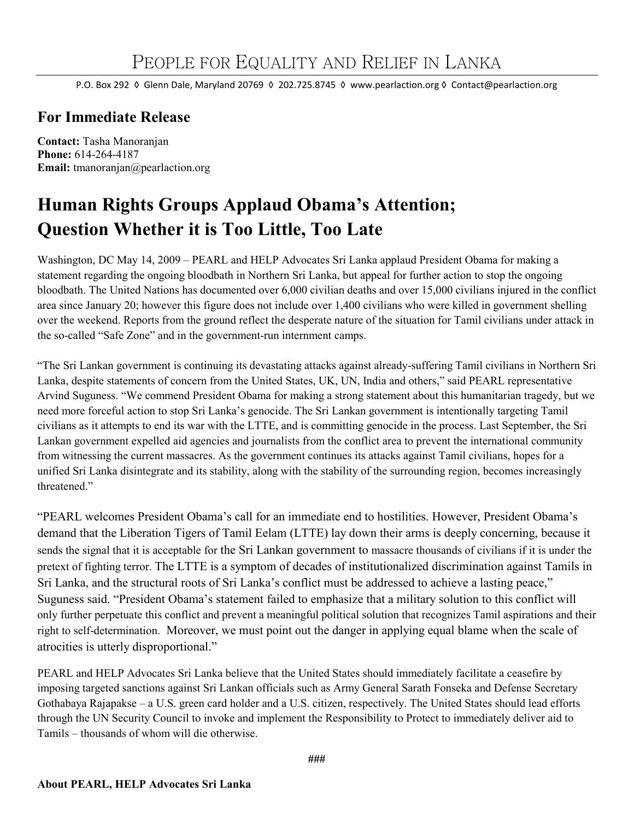P.O. Box 292 ◊ Glenn Dale, Maryland 20769 ◊ 202.725.8745 ◊ www.pearlaction.org ◊ Contact@pearlaction.org

## **For Immediate Release**

**Contact:** Tasha Manoranjan **Phone:** 614-264-4187 **Email:** tmanoranjan@pearlaction.org

## **Human Rights Groups Applaud Obama's Attention; Question Whether it is Too Little, Too Late**

Washington, DC May 14, 2009 – PEARL and HELP Advocates Sri Lanka applaud President Obama for making a statement regarding the ongoing bloodbath in Northern Sri Lanka, but appeal for further action to stop the ongoing bloodbath. The United Nations has documented over 6,000 civilian deaths and over 15,000 civilians injured in the conflict area since January 20; however this figure does not include over 1,400 civilians who were killed in government shelling over the weekend. Reports from the ground reflect the desperate nature of the situation for Tamil civilians under attack in the so-called "Safe Zone" and in the government-run internment camps.

"The Sri Lankan government is continuing its devastating attacks against already-suffering Tamil civilians in Northern Sri Lanka, despite statements of concern from the United States, UK, UN, India and others," said PEARL representative Arvind Suguness. "We commend President Obama for making a strong statement about this humanitarian tragedy, but we need more forceful action to stop Sri Lanka's genocide. The Sri Lankan government is intentionally targeting Tamil civilians as it attempts to end its war with the LTTE, and is committing genocide in the process. Last September, the Sri Lankan government expelled aid agencies and journalists from the conflict area to prevent the international community from witnessing the current massacres. As the government continues its attacks against Tamil civilians, hopes for a unified Sri Lanka disintegrate and its stability, along with the stability of the surrounding region, becomes increasingly threatened."

"PEARL welcomes President Obama's call for an immediate end to hostilities. However, President Obama's demand that the Liberation Tigers of Tamil Eelam (LTTE) lay down their arms is deeply concerning, because it sends the signal that it is acceptable for the Sri Lankan government to massacre thousands of civilians if it is under the pretext of fighting terror. The LTTE is a symptom of decades of institutionalized discrimination against Tamils in Sri Lanka, and the structural roots of Sri Lanka's conflict must be addressed to achieve a lasting peace," Suguness said. "President Obama's statement failed to emphasize that a military solution to this conflict will only further perpetuate this conflict and prevent a meaningful political solution that recognizes Tamil aspirations and their right to self-determination. Moreover, we must point out the danger in applying equal blame when the scale of atrocities is utterly disproportional."

PEARL and HELP Advocates Sri Lanka believe that the United States should immediately facilitate a ceasefire by imposing targeted sanctions against Sri Lankan officials such as Army General Sarath Fonseka and Defense Secretary Gothabaya Rajapakse – a U.S. green card holder and a U.S. citizen, respectively. The United States should lead efforts through the UN Security Council to invoke and implement the Responsibility to Protect to immediately deliver aid to Tamils – thousands of whom will die otherwise.